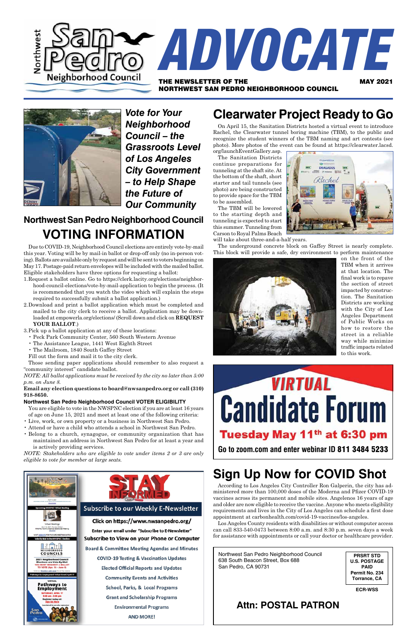Northwest San Pedro Neighborhood Council 638 South Beacon Street, Box 688 San Pedro, CA 90731

**PRSRT STD U.S. POSTAGE PAID Permit No. 234 Torrance, CA**

**ECR-WSS**

### **Attn: POSTAL PATRON**



*Vote for Your Neighborhood Council – the Grassroots Level of Los Angeles City Government – to Help Shape the Future of Our Community*

# **Northwest San Pedro Neighborhood Council VOTING INFORMATION**

Due to COVID-19, Neighborhood Council elections are entirely vote-by-mail this year. Voting will be by mail-in ballot or drop-off only (no in-person voting).Ballots are available only by request and will be sent to voters beginning on May 17. Postage-paid return envelopes will be included with the mailed ballot. Eligible stakeholders have three options for requesting a ballot:

- 1.Request a ballot online. Go to https://clerk.lacity.org/elections/neighborhood-council-elections/vote-by-mail-application to begin the process. (It is recommended that you watch the video which will explain the steps required to successfully submit a ballot application.)
- 2.Download and print a ballot application which must be completed and mailed to the city clerk to receive a ballot. Application may be downloaded at empowerla.org/elections/ (Scroll down and click on **REQUEST your ballot**.)
- 3.Pick up a ballot application at any of these locations:
	- • Peck Park Community Center, 560 South Western Avenue
	- • The Assistance League, 1441 West Eighth Street
	- • The Mailroom, 1840 South Gaffey Street
	- Fill out the form and mail it to the city clerk.

Those sending paper applications should remember to also request a "community interest" candidate ballot.

*NOTE: [All ballot applications must be received by the city no later than 5:00](https://e03b1d8e-f146-4966-93cb-9eecc41e25da.filesusr.com/ugd/f03c84_877f2f61e5154211aac65bc2abfd274c.pdf) [p.m. on June 8.](https://e03b1d8e-f146-4966-93cb-9eecc41e25da.filesusr.com/ugd/f03c84_877f2f61e5154211aac65bc2abfd274c.pdf)*

#### **Email any election questions to [board@nwsanpedro.org](mailto:board@nwsanpedro.org) or call (310) 918-8650.**

#### **Northwest San Pedro Neighborhood Council VOTER ELIGIBILITY**

You are eligible to vote in the NWSPNC election if you are at least 16 years of age on June 15, 2021 and meet at least one of the following criteria:

- • Live, work, or own property or a business in Northwest San Pedro.
- • Attend or have a child who attends a school in Northwest San Pedro.
- • Belong to a church, synagogue, or community organization that has maintained an address in Northwest San Pedro for at least a year and is actively providing services.

*NOTE: Stakeholders who are eligible to vote under items 2 or 3 are only eligible to vote for member at large seats.*

# **Sign Up Now for COVID Shot**







#### **Subscribe to our Weekly E-Newsletter**

Click on https://www.nwsanpedro.org/ Enter your email under "Subscribe to E-Newsletter" **Subscribe to View on your Phone or Computer** 

**Board & Committee Meeting Agendas and Minutes COVID-19 Testing & Vaccination Updates Elected Official Reports and Updates Community Events and Activities** School, Parks, & Local Programs **Grant and Scholarship Programs Environmental Programs** 

**AND MORE!** 

According to Los Angeles City Controller Ron Galperin, the city has administered more than 100,000 doses of the Moderna and Pfizer COVID-19 vaccines across its permanent and mobile sites. Angelenos 16 years of age and older are now eligible to receive the vaccine. Anyone who meets eligibility requirements and lives in the City of Los Angeles can schedule a first dose appointment at carbonhealth.com/covid-19-vaccines/los-angeles.

Los Angeles County residents with disabilities or without computer access can call 833-540-0473 between 8:00 a.m. and 8:30 p.m. seven days a week for assistance with appointments or call your doctor or healthcare provider.

# **Clearwater Project Ready to Go**

On April 15, the Sanitation Districts hosted a virtual event to introduce Rachel, the Clearwater tunnel boring machine (TBM), to the public and recognize the student winners of the TBM naming and art contests (see photo). More photos of the event can be found at https://clearwater.lacsd.

org/launchEventGallery.asp. The Sanitation Districts continue preparations for tunneling at the shaft site. At the bottom of the shaft, short starter and tail tunnels (see photo) are being constructed to provide space for the TBM to be assembled.

The TBM will be lowered to the starting depth and tunneling is expected to start this summer. Tunneling from Carson to Royal Palms Beach

Kachel

**CLEAPTHIA** 

will take about three-and-a-half years.

The underground concrete block on Gaffey Street is nearly complete. This block will provide a safe, dry environment to perform maintenance



on the front of the TBM when it arrives at that location. The final work is to repave the section of street impacted by construction. The Sanitation Districts are working with the City of Los Angeles Department of Public Works on how to restore the street in a reliable way while minimize traffic impacts related to this work.

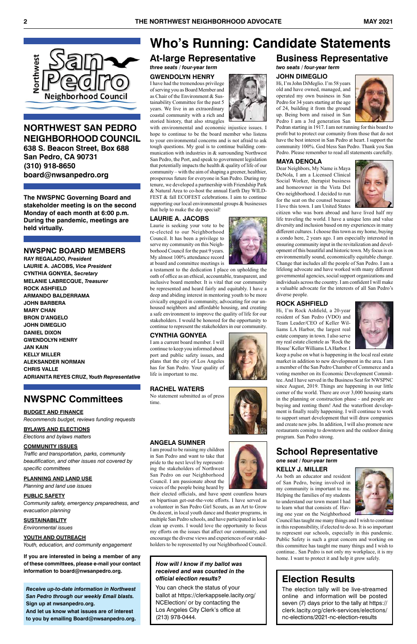

### **NORTHWEST SAN PEDRO NEIGHBORHOOD COUNCIL**

**638 S. Beacon Street, Box 688 San Pedro, CA 90731 (310) 918-8650 [board@nwsanpedro.org](mailto:board@nwsanpedro.org)**

## **NWSPNC Committees**

#### **Budget and Finance**

*Recommends budget, reviews funding requests*

**BYLAWS and ELECTIONS**

*Elections and bylaws matters*

#### **Community ISSUES**

*Traffic and transportation, parks, community beautification, and other issues not covered by specific committees*

#### **Planning and Land Use**

*Planning and land use issues*

#### **Public Safety**

*Community safety, emergency preparedness, and evacuation planning*

#### **Sustainability**

*Environmental issues*

#### **Youth and Outreach**

*Youth, education, and community engagement*

**If you are interested in being a member of any of these committees, please e-mail your contact information to [board@nwsanpedro.org](mailto:board@nwsanpedro.org).**

**The NWSPNC Governing Board and stakeholder meeting is on the second Monday of each month at 6:00 p.m. During the pandemic, meetings are held virtually.**

#### **NWSPNC BOARD MEMBERS**

**RAY REGALADO,** *President* **LAURIE A. JACOBS,** *Vice President* **CYNTHIA GONYEA,** *Secretary* **MELANIE LABRECQUE,** *Treasurer* **ROCK ASHFIELD ARMANDO BALDERRAMA JOHN BARBERA MarY CHAN BRON D'ANGELO JOHN DiMEGLIO dANIEL DIXON GWENDOLYN HENRY jan kain kElly miller aleksander norman CHRIS VALLE adrianita reyes cruz,** *Youth Representative*

*Receive up-to-date information in Northwest San Pedro through our weekly Email blasts.* **Sign up at [nwsanpedro.org.](nwsanpedro.org) And let us know what issues are of interest to you by emailing [Board@nwsanpedro.org.](mailto:Board@nwsanpedro.org)** 

# **Who's Running: Candidate Statements**

#### **Business Representative** *two seats / four-year term*

### **JOHN DIMEGLIO**

Hi, I'm John DiMeglio. I'm 58 years old and have owned, managed, and operated my own business in San Pedro for 34 years starting at the age of 24, building it from the ground up. Being born and raised in San Pedro I am a 3rd generation San



Pedran starting in 1917. I am not running for this board to profit but to protect our comunity from those that do not have the best interest in San Pedro at heart. I support the community 100%. God bless San Pedro. Thank you San Pedro. Please remember to read all statements carefully.

#### **MAYA DENOLA**

Dear Neighbors, My Name is Maya DeNola, I am a Licensed Clinical Social Worker, therapist business and homeowner in the Vista Del Oro neighborhood. I decided to run for the seat on the counsel because I love this town. I am United States



citizen who was born abroad and have lived half my life traveling the world. I have a unique lens and value diversity and inclusion based on my experiences in many different cultures. I choose this town as my home, buying a condo here, 2 years ago. I am especially interested in ensuring community input in the revitalization and development of this beautiful and historic town. My focus is on environmentally sound, economically equitable change. Change that includes all the people of San Pedro. I am a lifelong advocate and have worked with many different governmental agencies, social support organizations and individuals across the country. I am confident I will make a valuable advocate for the interests of all San Pedro's diverse people.

#### **ROCK ASHFIELD**

Hi, I'm Rock Ashfield, a 20-year resident of San Pedro (VDO) and Team Leader/CEO of Keller Williams LA Harbor, the largest real estate company in town. I also serve my real estate clientele as 'Rock the House' Keller Williams LA Harbor. I



keep a pulse on what is happening in the local real estate market in addition to new development in the area. I am a member of the San Pedro Chamber of Commerce and a voting member on its Economic Development Committee. And I have served in the Business Seat for NWSPNC since August, 2019. Things are happening in our little corner of the world. There are over 3,000 housing starts in the planning or construction phase - and people are buying and renting them! And the waterfront development is finally really happening. I will continue to work to support smart development that will draw companies and create new jobs. In addition, I will also promote new restaurants coming to downtown and the outdoor dining program. San Pedro strong.

## **School Representative**

*one seat / four-year term* **KELLY J. MILLER**





As both an educator and resident of San Pedro, being involved in my community is important to me. Helping the families of my students to understand our town meant I had to learn what that consists of. Having one year on the Neighborhood

Council has taught me many things and I wish to continue in this responsibility, if elected to do so. It is so important to represent our schools, especially in this pandemic. Public Safety is such a great concern and working on this committee has taught me many things and I wish to continue.. San Pedro is not only my workplace, it is my home. I want to protect it and help it grow safely.

### **At-large Representative**

*three seats / four-year term*

**Gwendolyn Henry**

I have had the tremendous privilege of serving you as Board Member and as Chair of the Environment & Sustainability Committee for the past 5 years. We live in an extraordinary coastal community with a rich and storied history, that also struggles

with environmental and economic injustice issues. I hope to continue to be the board member who listens to your environmental concerns and is not afraid to ask tough questions. My goal is to continue building communication with industries in & surrounding Northwest San Pedro, the Port, and speak to government legislation that potentially impacts the health & quality of life of our community – with the aim of shaping a greener, healthier, prosperous future for everyone in San Pedro. During my tenure, we developed a partnership with Friendship Park & Natural Area to co-host the annual Earth Day WILD-FEST & fall ECOFEST celebrations. I aim to continue supporting our local environmental groups & businesses that help to make the day special!

#### **Laurie A. Jacobs**

Laurie is seeking your vote to be re-elected to our Neighborhood Council. It has been a privilege to serve my community on this Neighborhood Council for the past 9 years. My almost 100% attendance record at board and committee meetings is

a testament to the dedication I place on upholding the oath of office as an ethical, accountable, transparent, and inclusive board member. It is vital that our community be represented and heard fairly and equitably. I have a deep and abiding interest in mentoring youth to be more civically engaged in community, advocating for our unhoused neighbors and affordable housing, and creating a safe environment to improve the quality of life for our stakeholders. I would be honored for the opportunity to continue to represent the stakeholders in our community.

#### **Cynthia Gonyea**

I am a current board member. I will continue to keep you informed about port and public safety issues, and plans that the city of Los Angeles has for San Pedro. Your quality of life is important to me.

#### **Rachel Waters**

No statement submitted as of press time.



**Angela Sumner**

I am proud to be raising my children in San Pedro and want to take that pride to the next level by representing the stakeholders of Northwest



San Pedro on our Neighborhood Council. I am passionate about the voices of the people being heard by

their elected officials, and have spent countless hours on bipartisan get-out-the-vote efforts. I have served as a volunteer in San Pedro Girl Scouts, as an Art to Grow On docent, in local youth dance and theater programs, in multiple San Pedro schools, and have participated in local clean up events. I would love the opportunity to focus my efforts on the issues that affect our community, and encourage the diverse views and experiences of our stakeholders to be represented by our Neighborhood Council.

#### *How will I know if my ballot was received and was counted in the official election results?*

You can check the status of your ballot at [https://clerkappsele.lacity.org/](https://clerkappsele.lacity.org/NCElection/) [NCElection/](https://clerkappsele.lacity.org/NCElection/) or by contacting the Los Angeles City Clerk's office at (213) 978-0444.

## **Election Results**

The election tally will be live-streamed online and information will be posted seven (7) days prior to the tally at https:// clerk.lacity.org/clerk-services/elections/ nc-elections/2021-nc-election-results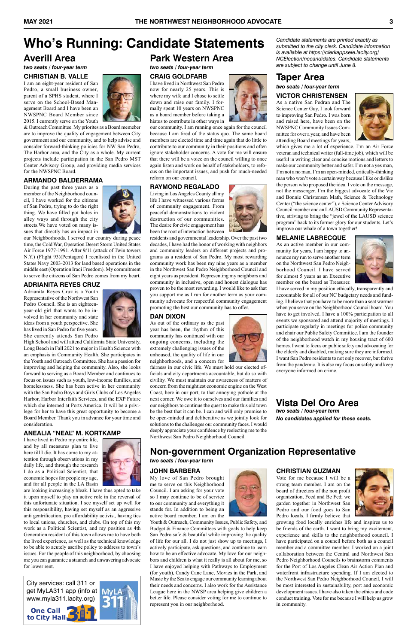

### **Taper Area** *two seats / four-year term* **VICTOR CHRISTENSEN**

As a native San Pedran and The Science Center Guy, I look forward to improving San Pedro. I was born and raised here, have been on the NWSPNC Community Issues Committee for over a year, and have been attending Board meetings for years,



which gives me a lot of experience. I'm an Air Force veteran and technical writer (full-time job), which will be useful in writing clear and concise motions and letters to make our community better and safer. I'm not a yes man, I'm not a no man, I'm an open-minded, critically-thinking man who won't vote a certain way because I like or dislike the person who proposed the idea. I vote on the message, not the messenger. I'm the biggest advocate of the Vic and Bonnie Christensen Math, Science & Technology Center ("the science center"), a Science Center Advisory Council member and an LAUSD Community Representative, striving to bring the "jewel of the LAUSD science program" back to its former glory for our students. Let's improve our whale of a town together!

#### **MELANIE LABRECQUE**

As an active member in our community for years, I am happy to announce my run to serve another term on the Northwest San Pedro Neighborhood Council. I have served for almost 5 years as an Executive member on the board as Treasurer.



I have served in my position ethically, transparently and accountable for all of our NC budgetary needs and funding. I believe that you have to be more than a seat warmer when you serve on the Neighborhood Council board. You have to get involved. I have a 100% participation to all events we sponsored and attend majority of meetings. I participate regularly in meetings for police community and chair our Public Safety Committee. I am the founder of the neighborhood watch in my housing tract of 600 homes. I want to focus on public safety and advocating for the elderly and disabled, making sure they are informed. I want San Pedro residents to not only recover, but thrive from the pandemic. It is also my focus on safety and keep everyone informed on crime.

**Vista Del Oro Area** *two seats / four-year term*

*No candidates applied for these seats.*

# **Who's Running: Candidate Statements**

### **Averill Area** *two seats / four-year term*

#### **CHRISTIAN B. VALLE**

I am an eight-year resident of San Pedro, a small business owner, parent of a SPHS student, where I serve on the School-Based Management Board and I have been an NWSPNC Board Member since 2015. I currently serve on the Youth



& Outreach Committee. My priorites as a Board memeber are to improve the quality of engagement between City government and our community, and to help advise and consider forward-thinking policies for NW San Pedro, The Harbor area, and the City as a whole. My current projects include participation in the San Pedro MST Center Advisory Group, and providing media services for the NWSPNC Board.

#### **ARMANDo bALDERRAMA**

During the past three years as a member of the Neighborhood council, I have worked for the citizens of San Pedro, trying to do the right thing. We have filled pot holes in alley ways and through the city streets.We have voted on many issues that directly has an impact in



our Neighborhoods. I served our country during peace time, the Cold War, Operation Desert Storm United States Air Force 1977-1991. After 9/11 (attack of Twin towers N.Y.) (Flight 93)(Pentagon) I reenlisted in the United States Navy 2003-2013 for land based operations in the middle east (Operation Iraqi Freedom). My commitment to serve the citizens of San Pedro comes from my heart.

#### **ADRIANITA REYES CRUZ**

Adrianita Reyes Cruz is a Youth Representative of the Northwest San Pedro Council. She is an eighteenyear-old girl that wants to be involved in her community and state ideas from a youth perspective. She has lived in San Pedro for five years. She currently attends San Pedro



High School and will attend California State University, Long Beach in Fall 2021 to major in Health Science with an emphasis in Community Health. She participates in the Youth and Outreach Committee. She has a passion for improving and helping the community. Also, she looks forward to serving as a Board Member and continues to focus on issues such as youth, low-income families, and homelessness. She has been active in her community with the San Pedro Boys and Girls Clubs of Los Angeles Harbor, Harbor Interfaith Services, and the EXP Future which she interned at Ports America. It will be a privilege for her to have this great opportunity to become a Board Member. Thank you in advance for your time and consideration.

#### **ANEALIA "NEAL" M. KORTKAMP**

I have lived in Pedro my entire life, and by all measures plan to live here till I die. It has come to my attention through observations in my daily life, and through the research I do as a Political Scientist, that



economic hopes for people my age, and for all people in the LA Basin

are looking increasingly bleak. I have thus opted to take it upon myself to play an active role in the reversal of this unfortunate situation. I see myself set up well for this responsibility, having set myself as an aggressive anti gentrification, pro affordability activist, having ties to local unions, churches, and clubs. On top of this my work as a Political Scientist, and my position as 4th Generation resident of this town allows me to have both the lived experience, as well as the technical knowledge to be able to acutely ascribe policy to address to town's issues. For the people of this neighborhood, by choosing me you can guarantee a staunch and unwavering advocate for lower rent.

**CHRISTIAN GUZMAN**



Vote for me because I will be a strong team member. I am on the board of directors of the non profit organization, Feed and Be Fed; we garden together in Northwest San Pedro and our food goes to San Pedro locals. I firmly believe that

growing food locally enriches life and inspires us to be friends of the earth. I want to bring my excitement, experience and skills to the neighborhood council. I have participated on a council before both as a council member and a committee member. I worked on a joint collaboration between the Central and Northwest San Pedro Neighborhood Councils to brainstorm comments for the Port of Los Angeles Clean Air Action Plan and waterfront infrastructure spending. If I am elected to the Northwest San Pedro Neighborhood Council, I will be most interested in sustainability, port and economic development issues. I have also taken the ethics and code conduct training. Vote for me because I will help us grow in community.

## **Non-government Organization Representative**

*two seats / four-year term*

**JOHN BARBERA**







Youth & Outreach, Community Issues, Public Safety, and Budget & Finance Committees with goals to help keep San Pedro safe & beautiful while improving the quality of life for our all. I do not just show up to meetings, I actively participate, ask questions, and continue to learn how to be an effective advocate. My love for our neighbors and children is what it really is all about for me, so I have enjoyed helping with Pathways to Employment (for youth), Candy Cane Lane, Movies in the Park, and Music by the Sea to engage our community learning about their needs and concerns. I also work for the Assistance League here in the NWSP area helping give children a better life. Please consider voting for me to continue to represent you in our neighborhood.

### **Park Western Area**

*two seats / four-year term* **CRAIG GOLDFARB**

I have lived in Northwest San Pedro now for nearly 25 years. This is where my wife and I chose to settle down and raise our family. I formally spent 10 years on NWSPNC as a board member before taking a hiatus to contribute in other ways in

our community. I am running once again for the council because I am tired of the status quo. The same board members are elected time and time again that do little to contribute to our community in their positions and often ignore stakeholder concerns. A vote for me will ensure that there will be a voice on the council willing to once again listen and work on behalf of stakeholders, to refocus on the important issues, and push for much-needed reform on our council.

#### **RAYMOND REGALADO**

Living in Los Angeles County all my life I have witnessed various forms of community engagement. From peaceful demonstrations to violent destruction of our communities. The desire for civic engagement has been the root of interaction between

residents and governmental leadership. Over the past two decades, I have had the honor of working with neighbors and community leaders on different projects and programs as a resident of San Pedro. My most rewarding community work has been my nine years as a member in the Northwest San Pedro Neighborhood Council and eight years as president. Representing my neighbors and community in inclusive, open and honest dialogue has proven to be the most rewarding. I would like to ask that you support me as I run for another term as your community advocate for respectful community engagement promoting the best our community has to offer.

#### **DAN DIXON**

As out of the ordinary as the past year has been, the rhythm of this community has continued with our ongoing concerns, including the extremely challenging issues of the unhoused, the quality of life in our neighborhoods, and a concern for

fairness in our civic life. We must hold our elected officials and city departments accountable, but do so with civility. We must maintain our awareness of matters of concern from the mightiest economic engine on the West Coast, here in our port, to that annoying pothole at the next corner. We owe it to ourselves and our families and our neighbors to continue the quest to make this old town be the best that it can be. I can and will only promise to be open-minded and deliberative as we jointly look for solutions to the challenges our community faces. I would deeply appreciate your confidence by reelecting me to the Northwest San Pedro Neighborhood Council.



*Candidate statements are printed exactly as submitted to the city clerk. Candidate information is available at https://clerkappsele.lacity.org/ NCElection/nccandidates. Candidate statements are subject to change until June 8.*